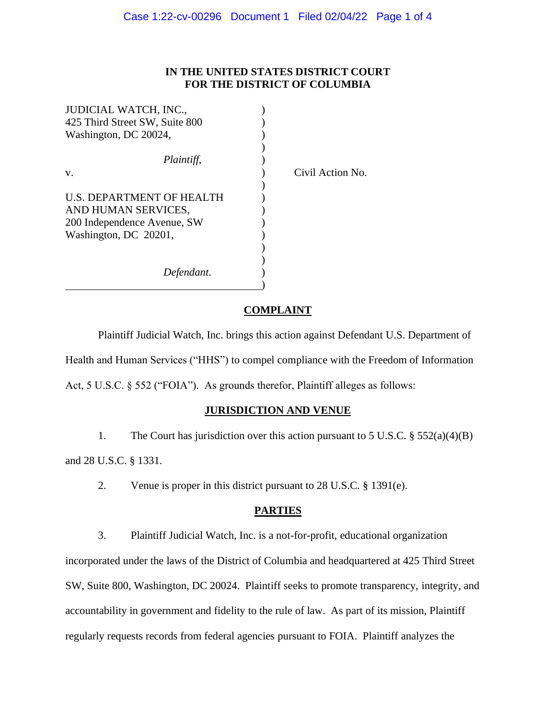# **IN THE UNITED STATES DISTRICT COURT FOR THE DISTRICT OF COLUMBIA**

| JUDICIAL WATCH, INC.,          |                  |
|--------------------------------|------------------|
| 425 Third Street SW, Suite 800 |                  |
| Washington, DC 20024,          |                  |
|                                |                  |
| Plaintiff,                     |                  |
| V.                             | Civil Action No. |
|                                |                  |
| U.S. DEPARTMENT OF HEALTH      |                  |
| AND HUMAN SERVICES,            |                  |
| 200 Independence Avenue, SW    |                  |
| Washington, DC 20201,          |                  |
|                                |                  |
|                                |                  |
| Defendant.                     |                  |
|                                |                  |

### **COMPLAINT**

Plaintiff Judicial Watch, Inc. brings this action against Defendant U.S. Department of Health and Human Services ("HHS") to compel compliance with the Freedom of Information Act, 5 U.S.C. § 552 ("FOIA"). As grounds therefor, Plaintiff alleges as follows:

### **JURISDICTION AND VENUE**

1. The Court has jurisdiction over this action pursuant to 5 U.S.C. § 552(a)(4)(B) and 28 U.S.C. § 1331.

2. Venue is proper in this district pursuant to 28 U.S.C. § 1391(e).

## **PARTIES**

3. Plaintiff Judicial Watch, Inc. is a not-for-profit, educational organization incorporated under the laws of the District of Columbia and headquartered at 425 Third Street SW, Suite 800, Washington, DC 20024. Plaintiff seeks to promote transparency, integrity, and accountability in government and fidelity to the rule of law. As part of its mission, Plaintiff regularly requests records from federal agencies pursuant to FOIA. Plaintiff analyzes the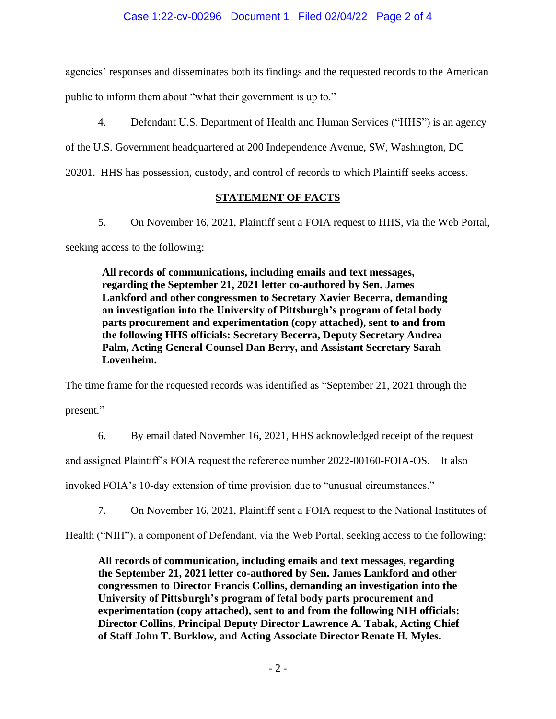agencies' responses and disseminates both its findings and the requested records to the American

public to inform them about "what their government is up to."

4. Defendant U.S. Department of Health and Human Services ("HHS") is an agency

of the U.S. Government headquartered at 200 Independence Avenue, SW, Washington, DC

20201. HHS has possession, custody, and control of records to which Plaintiff seeks access.

# **STATEMENT OF FACTS**

5. On November 16, 2021, Plaintiff sent a FOIA request to HHS, via the Web Portal,

seeking access to the following:

**All records of communications, including emails and text messages, regarding the September 21, 2021 letter co-authored by Sen. James Lankford and other congressmen to Secretary Xavier Becerra, demanding an investigation into the University of Pittsburgh's program of fetal body parts procurement and experimentation (copy attached), sent to and from the following HHS officials: Secretary Becerra, Deputy Secretary Andrea Palm, Acting General Counsel Dan Berry, and Assistant Secretary Sarah Lovenheim.** 

The time frame for the requested records was identified as "September 21, 2021 through the

present."

6. By email dated November 16, 2021, HHS acknowledged receipt of the request

and assigned Plaintiff's FOIA request the reference number 2022-00160-FOIA-OS. It also

invoked FOIA's 10-day extension of time provision due to "unusual circumstances."

7. On November 16, 2021, Plaintiff sent a FOIA request to the National Institutes of

Health ("NIH"), a component of Defendant, via the Web Portal, seeking access to the following:

**All records of communication, including emails and text messages, regarding the September 21, 2021 letter co-authored by Sen. James Lankford and other congressmen to Director Francis Collins, demanding an investigation into the University of Pittsburgh's program of fetal body parts procurement and experimentation (copy attached), sent to and from the following NIH officials: Director Collins, Principal Deputy Director Lawrence A. Tabak, Acting Chief of Staff John T. Burklow, and Acting Associate Director Renate H. Myles.**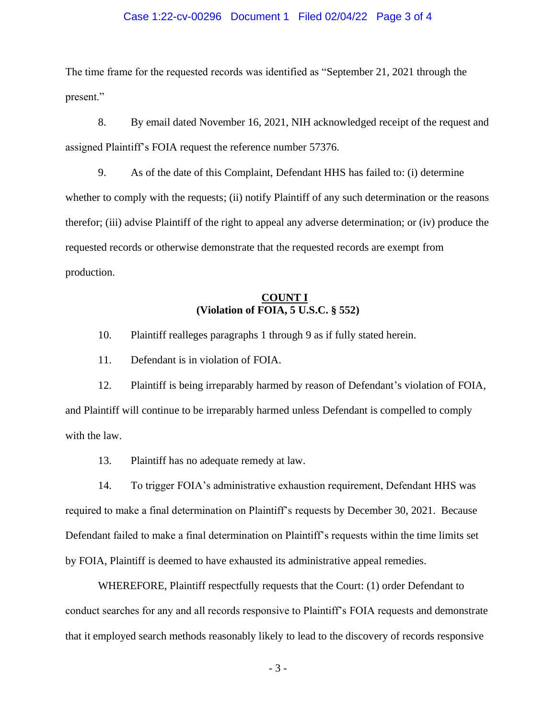### Case 1:22-cv-00296 Document 1 Filed 02/04/22 Page 3 of 4

The time frame for the requested records was identified as "September 21, 2021 through the present."

8. By email dated November 16, 2021, NIH acknowledged receipt of the request and assigned Plaintiff's FOIA request the reference number 57376.

9. As of the date of this Complaint, Defendant HHS has failed to: (i) determine whether to comply with the requests; (ii) notify Plaintiff of any such determination or the reasons therefor; (iii) advise Plaintiff of the right to appeal any adverse determination; or (iv) produce the requested records or otherwise demonstrate that the requested records are exempt from production.

# **COUNT I (Violation of FOIA, 5 U.S.C. § 552)**

10. Plaintiff realleges paragraphs 1 through 9 as if fully stated herein.

11. Defendant is in violation of FOIA.

12. Plaintiff is being irreparably harmed by reason of Defendant's violation of FOIA, and Plaintiff will continue to be irreparably harmed unless Defendant is compelled to comply with the law.

13. Plaintiff has no adequate remedy at law.

14. To trigger FOIA's administrative exhaustion requirement, Defendant HHS was required to make a final determination on Plaintiff's requests by December 30, 2021. Because Defendant failed to make a final determination on Plaintiff's requests within the time limits set by FOIA, Plaintiff is deemed to have exhausted its administrative appeal remedies.

WHEREFORE, Plaintiff respectfully requests that the Court: (1) order Defendant to conduct searches for any and all records responsive to Plaintiff's FOIA requests and demonstrate that it employed search methods reasonably likely to lead to the discovery of records responsive

- 3 -